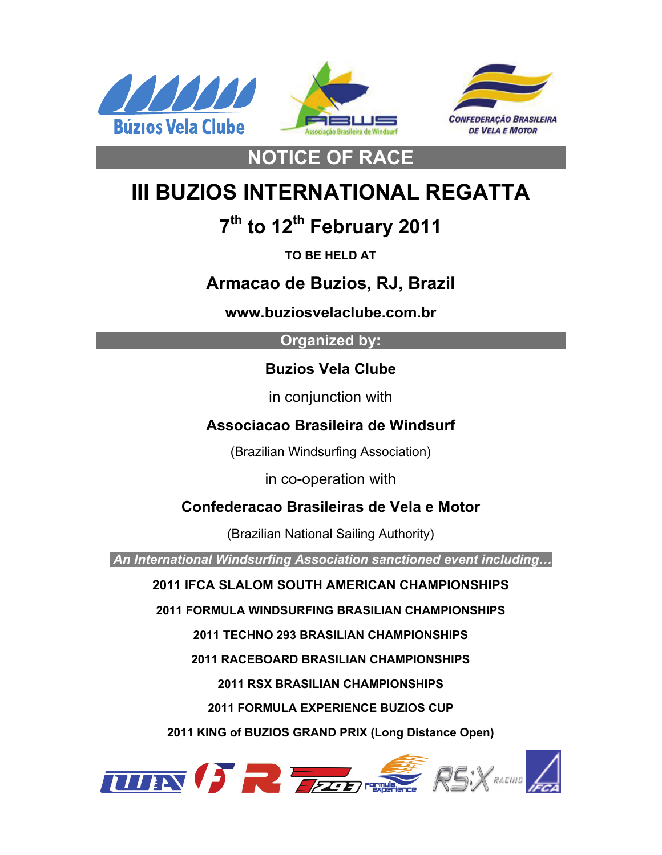





# **III BUZIOS INTERNATIONAL REGATTA**

**NOTICE OF RACE** 

# **7th to 12th February 2011**

**TO BE HELD AT** 

## **Armacao de Buzios, RJ, Brazil**

**www.buziosvelaclube.com.br** 

### **Organized by:**

### **Buzios Vela Clube**

in conjunction with

## **Associacao Brasileira de Windsurf**

(Brazilian Windsurfing Association)

in co-operation with

## **Confederacao Brasileiras de Vela e Motor**

(Brazilian National Sailing Authority)

 *An International Windsurfing Association sanctioned event including…* 

### **2011 IFCA SLALOM SOUTH AMERICAN CHAMPIONSHIPS**

**2011 FORMULA WINDSURFING BRASILIAN CHAMPIONSHIPS** 

**2011 TECHNO 293 BRASILIAN CHAMPIONSHIPS** 

**2011 RACEBOARD BRASILIAN CHAMPIONSHIPS** 

**2011 RSX BRASILIAN CHAMPIONSHIPS** 

**2011 FORMULA EXPERIENCE BUZIOS CUP** 

**2011 KING of BUZIOS GRAND PRIX (Long Distance Open)** 

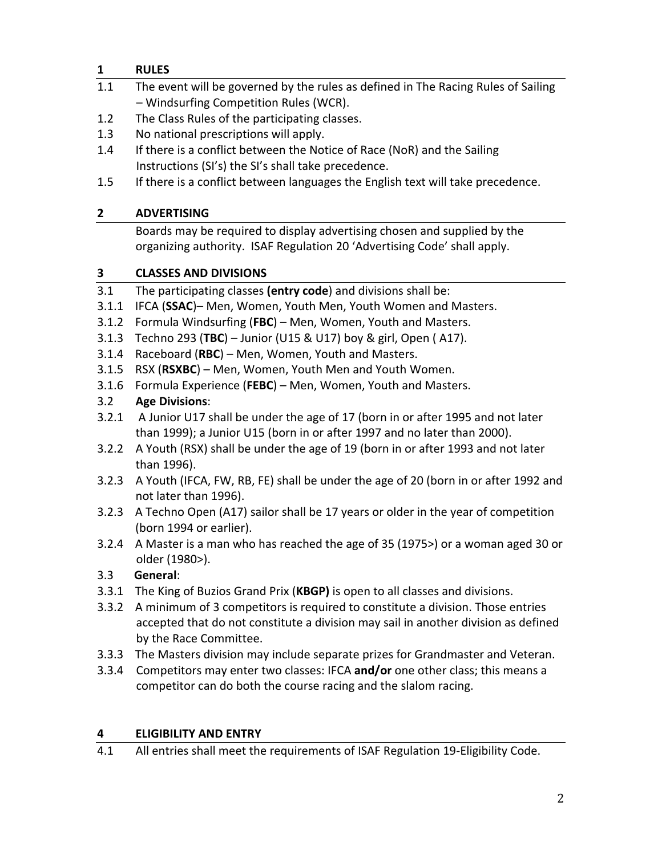#### **1 RULES**

- 1.1 The event will be governed by the rules as defined in The Racing Rules of Sailing – Windsurfing Competition Rules (WCR).
- 1.2 The Class Rules of the participating classes.
- 1.3 No national prescriptions will apply.
- 1.4 If there is a conflict between the Notice of Race (NoR) and the Sailing Instructions (SI's) the SI's shall take precedence.
- 1.5 If there is a conflict between languages the English text will take precedence.

#### **2 ADVERTISING**

Boards may be required to display advertising chosen and supplied by the organizing authority. ISAF Regulation 20 'Advertising Code' shall apply.

#### **3 CLASSES AND DIVISIONS**

- 3.1 The participating classes **(entry code**) and divisions shall be:
- 3.1.1 IFCA (**SSAC**)– Men, Women, Youth Men, Youth Women and Masters.
- 3.1.2 Formula Windsurfing (**FBC**) Men, Women, Youth and Masters.
- 3.1.3 Techno 293 (**TBC**) Junior (U15 & U17) boy & girl, Open ( A17).
- 3.1.4 Raceboard (**RBC**) Men, Women, Youth and Masters.
- 3.1.5 RSX (**RSXBC**) Men, Women, Youth Men and Youth Women.
- 3.1.6 Formula Experience (**FEBC**) Men, Women, Youth and Masters.

#### 3.2 **Age Divisions**:

- 3.2.1 A Junior U17 shall be under the age of 17 (born in or after 1995 and not later than 1999); a Junior U15 (born in or after 1997 and no later than 2000).
- 3.2.2 A Youth (RSX) shall be under the age of 19 (born in or after 1993 and not later than 1996).
- 3.2.3 A Youth (IFCA, FW, RB, FE) shall be under the age of 20 (born in or after 1992 and not later than 1996).
- 3.2.3 A Techno Open (A17) sailor shall be 17 years or older in the year of competition (born 1994 or earlier).
- 3.2.4 A Master is a man who has reached the age of 35 (1975>) or a woman aged 30 or older (1980>).

#### 3.3 **General**:

- 3.3.1 The King of Buzios Grand Prix (**KBGP)** is open to all classes and divisions.
- 3.3.2 A minimum of 3 competitors is required to constitute a division. Those entries accepted that do not constitute a division may sail in another division as defined by the Race Committee.
- 3.3.3 The Masters division may include separate prizes for Grandmaster and Veteran.
- 3.3.4 Competitors may enter two classes: IFCA **and/or** one other class; this means a competitor can do both the course racing and the slalom racing.

#### **4 ELIGIBILITY AND ENTRY**

4.1 All entries shall meet the requirements of ISAF Regulation 19-Eligibility Code.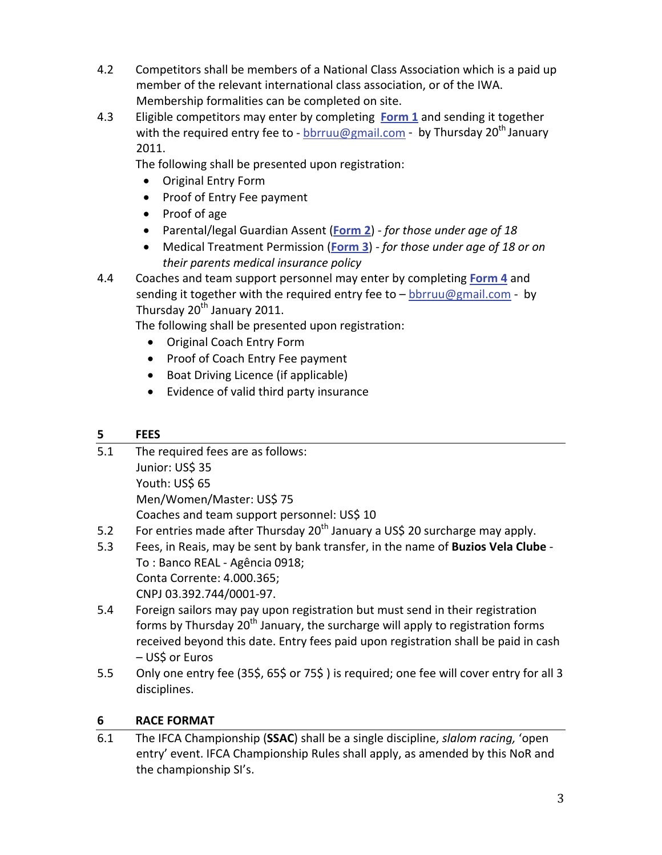- 4.2 Competitors shall be members of a National Class Association which is a paid up member of the relevant international class association, or of the IWA. Membership formalities can be completed on site.
- 4.3 Eligible competitors may enter by completing **[Form](http://www.internationalwindsurfing.com/userfiles/documents/Buzios_International%20Regatta_Brazil_Feb_2011_Form_1.pdf) 1** and sending it together with the required entry fee to - [bbrruu@gmail.com](mailto:bbrruu@gmail.com) - by Thursday 20<sup>th</sup> January 2011.

The following shall be presented upon registration:

- Original Entry Form
- Proof of Entry Fee payment
- Proof of age
- Parental/legal Guardian Assent (**[Form](http://www.internationalwindsurfing.com/userfiles/documents/Buzios_International%20Regatta_Brazil_Feb_2011_Form_2.pdf) 2**) ‐ *for those under age of 18*
- Medical Treatment Permission (**[Form](http://www.internationalwindsurfing.com/userfiles/documents/Buzios_International%20Regatta_Brazil_Feb_2011_Form_3.pdf) 3**) *‐ for those under age of 18 or on their parents medical insurance policy*
- 4.4 Coaches and team support personnel may enter by completing **[Form](http://www.internationalwindsurfing.com/userfiles/documents/Buzios_International%20Regatta_Brazil_Feb_2011_Form_4.pdf) 4** and sending it together with the required entry fee to  $-\frac{b \text{b} r \text{b}}{2 \text{b} m \text{c}}$  by Thursday 20<sup>th</sup> January 2011.

The following shall be presented upon registration:

- Original Coach Entry Form
- Proof of Coach Entry Fee payment
- Boat Driving Licence (if applicable)
- Evidence of valid third party insurance

#### **5 FEES**

- 5.1 The required fees are as follows: Junior: US\$ 35 Youth: US\$ 65 Men/Women/Master: US\$ 75 Coaches and team support personnel: US\$ 10 5.2 For entries made after Thursday  $20<sup>th</sup>$  January a US\$ 20 surcharge may apply.
- 5.3 Fees, in Reais, may be sent by bank transfer, in the name of **Buzios Vela Clube** ‐
- To : Banco REAL ‐ Agência 0918; Conta Corrente: 4.000.365; CNPJ 03.392.744/0001‐97.
- 5.4 Foreign sailors may pay upon registration but must send in their registration forms by Thursday  $20<sup>th</sup>$  January, the surcharge will apply to registration forms received beyond this date. Entry fees paid upon registration shall be paid in cash – US\$ or Euros
- 5.5 Only one entry fee (35\$, 65\$ or 75\$) is required; one fee will cover entry for all 3 disciplines.

#### **6 RACE FORMAT**

6.1 The IFCA Championship (**SSAC**) shall be a single discipline, *slalom racing,* 'open entry' event. IFCA Championship Rules shall apply, as amended by this NoR and the championship SI's.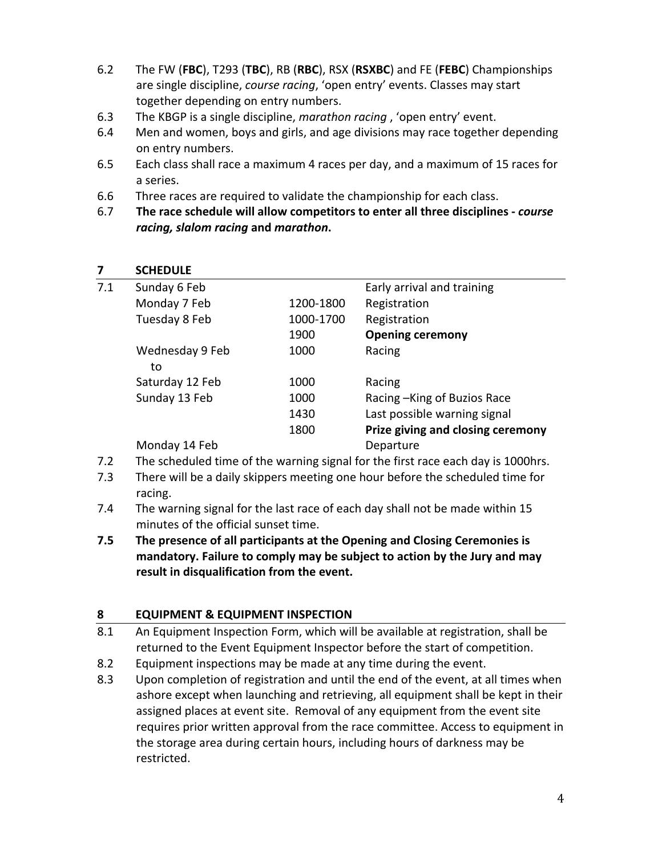- 6.2 The FW (**FBC**), T293 (**TBC**), RB (**RBC**), RSX (**RSXBC**) and FE (**FEBC**) Championships are single discipline, *course racing*, 'open entry' events. Classes may start together depending on entry numbers.
- 6.3 The KBGP is a single discipline, *marathon racing* , 'open entry' event.
- 6.4 Men and women, boys and girls, and age divisions may race together depending on entry numbers.
- 6.5 Each class shall race a maximum 4 races per day, and a maximum of 15 races for a series.
- 6.6 Three races are required to validate the championship for each class.
- 6.7 **The race schedule will allow competitors to enter all three disciplines ‐** *course racing, slalom racing* **and** *marathon***.**

#### **7 SCHEDULE**

| 7.1 | Sunday 6 Feb          |           | Early arrival and training        |
|-----|-----------------------|-----------|-----------------------------------|
|     | Monday 7 Feb          | 1200-1800 | Registration                      |
|     | Tuesday 8 Feb         | 1000-1700 | Registration                      |
|     |                       | 1900      | <b>Opening ceremony</b>           |
|     | Wednesday 9 Feb<br>to | 1000      | Racing                            |
|     | Saturday 12 Feb       | 1000      | Racing                            |
|     | Sunday 13 Feb         | 1000      | Racing - King of Buzios Race      |
|     |                       | 1430      | Last possible warning signal      |
|     |                       | 1800      | Prize giving and closing ceremony |
|     | Monday 14 Feb         |           | Departure                         |
|     |                       |           |                                   |

- 7.2 The scheduled time of the warning signal for the first race each day is 1000hrs.
- 7.3 There will be a daily skippers meeting one hour before the scheduled time for racing.
- 7.4 The warning signal for the last race of each day shall not be made within 15 minutes of the official sunset time.
- **7.5 The presence of all participants at the Opening and Closing Ceremonies is mandatory. Failure to comply may be subject to action by the Jury and may result in disqualification from the event.**

#### **8 EQUIPMENT & EQUIPMENT INSPECTION**

- 8.1 An Equipment Inspection Form, which will be available at registration, shall be returned to the Event Equipment Inspector before the start of competition.
- 8.2 Equipment inspections may be made at any time during the event.
- 8.3 Upon completion of registration and until the end of the event, at all times when ashore except when launching and retrieving, all equipment shall be kept in their assigned places at event site. Removal of any equipment from the event site requires prior written approval from the race committee. Access to equipment in the storage area during certain hours, including hours of darkness may be restricted.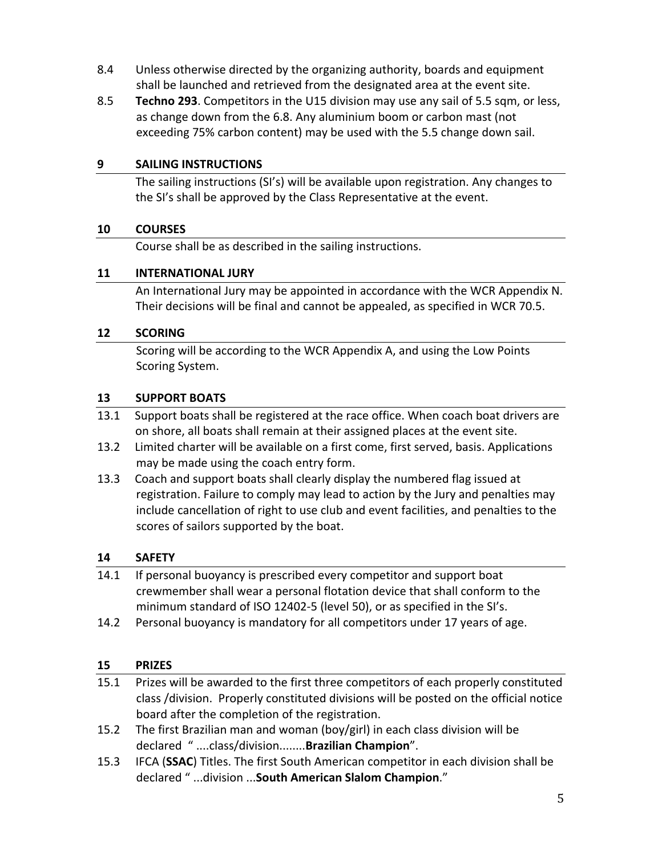- 8.4 Unless otherwise directed by the organizing authority, boards and equipment shall be launched and retrieved from the designated area at the event site.
- 8.5 **Techno 293**. Competitors in the U15 division may use any sail of 5.5 sqm, or less, as change down from the 6.8. Any aluminium boom or carbon mast (not exceeding 75% carbon content) may be used with the 5.5 change down sail.

#### **9 SAILING INSTRUCTIONS**

The sailing instructions (SI's) will be available upon registration. Any changes to the SI's shall be approved by the Class Representative at the event.

#### **10 COURSES**

Course shall be as described in the sailing instructions.

#### **11 INTERNATIONAL JURY**

An International Jury may be appointed in accordance with the WCR Appendix N. Their decisions will be final and cannot be appealed, as specified in WCR 70.5.

#### **12 SCORING**

Scoring will be according to the WCR Appendix A, and using the Low Points Scoring System.

#### **13 SUPPORT BOATS**

- 13.1 Support boats shall be registered at the race office. When coach boat drivers are on shore, all boats shall remain at their assigned places at the event site.
- 13.2 Limited charter will be available on a first come, first served, basis. Applications may be made using the coach entry form.
- 13.3 Coach and support boats shall clearly display the numbered flag issued at registration. Failure to comply may lead to action by the Jury and penalties may include cancellation of right to use club and event facilities, and penalties to the scores of sailors supported by the boat.

#### **14 SAFETY**

- 14.1 If personal buoyancy is prescribed every competitor and support boat crewmember shall wear a personal flotation device that shall conform to the minimum standard of ISO 12402‐5 (level 50), or as specified in the SI's.
- 14.2 Personal buoyancy is mandatory for all competitors under 17 years of age.

#### **15 PRIZES**

| 15.1 | Prizes will be awarded to the first three competitors of each properly constituted    |  |  |
|------|---------------------------------------------------------------------------------------|--|--|
|      | class /division. Properly constituted divisions will be posted on the official notice |  |  |
|      | board after the completion of the registration.                                       |  |  |
| 15.2 | The first Brazilian man and woman (boy/girl) in each class division will be           |  |  |
|      | declared "class/divisionBrazilian Champion".                                          |  |  |
|      | 15.2 IECA (SSAC) Titles The first South American compatitor in each division shall be |  |  |

15.3 IFCA (**SSAC**) Titles. The first South American competitor in each division shall be declared " ...division ...**South American Slalom Champion**."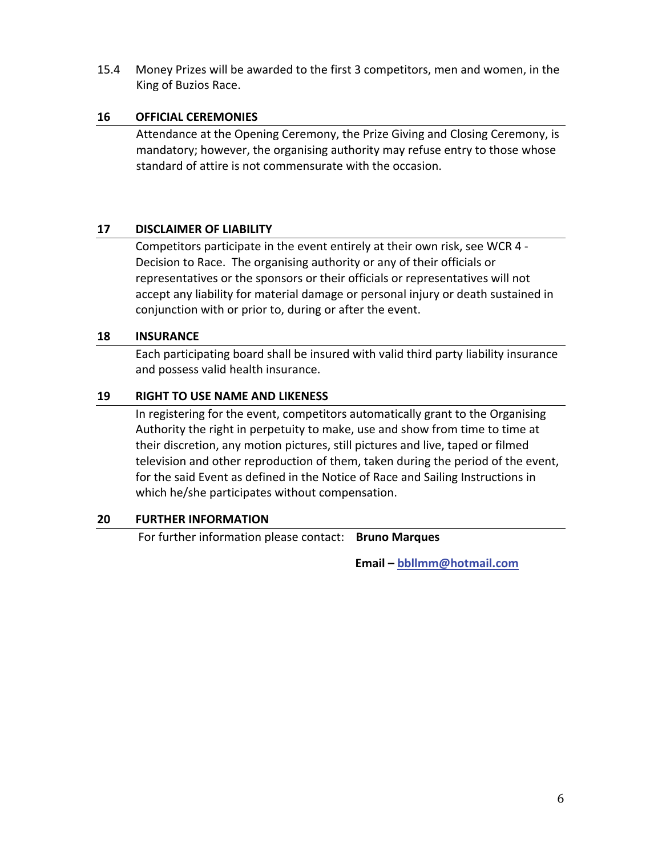15.4 Money Prizes will be awarded to the first 3 competitors, men and women, in the King of Buzios Race.

#### **16 OFFICIAL CEREMONIES**

Attendance at the Opening Ceremony, the Prize Giving and Closing Ceremony, is mandatory; however, the organising authority may refuse entry to those whose standard of attire is not commensurate with the occasion.

#### **17 DISCLAIMER OF LIABILITY**

 Competitors participate in the event entirely at their own risk, see WCR 4 ‐ Decision to Race. The organising authority or any of their officials or representatives or the sponsors or their officials or representatives will not accept any liability for material damage or personal injury or death sustained in conjunction with or prior to, during or after the event.

#### **18 INSURANCE**

Each participating board shall be insured with valid third party liability insurance and possess valid health insurance.

#### **19 RIGHT TO USE NAME AND LIKENESS**

In registering for the event, competitors automatically grant to the Organising Authority the right in perpetuity to make, use and show from time to time at their discretion, any motion pictures, still pictures and live, taped or filmed television and other reproduction of them, taken during the period of the event, for the said Event as defined in the Notice of Race and Sailing Instructions in which he/she participates without compensation.

#### **20 FURTHER INFORMATION**

For further information please contact: **Bruno Marques**

 **Email – [bbllmm@hotmail.com](mailto:bbllmm@hotmail.com)**